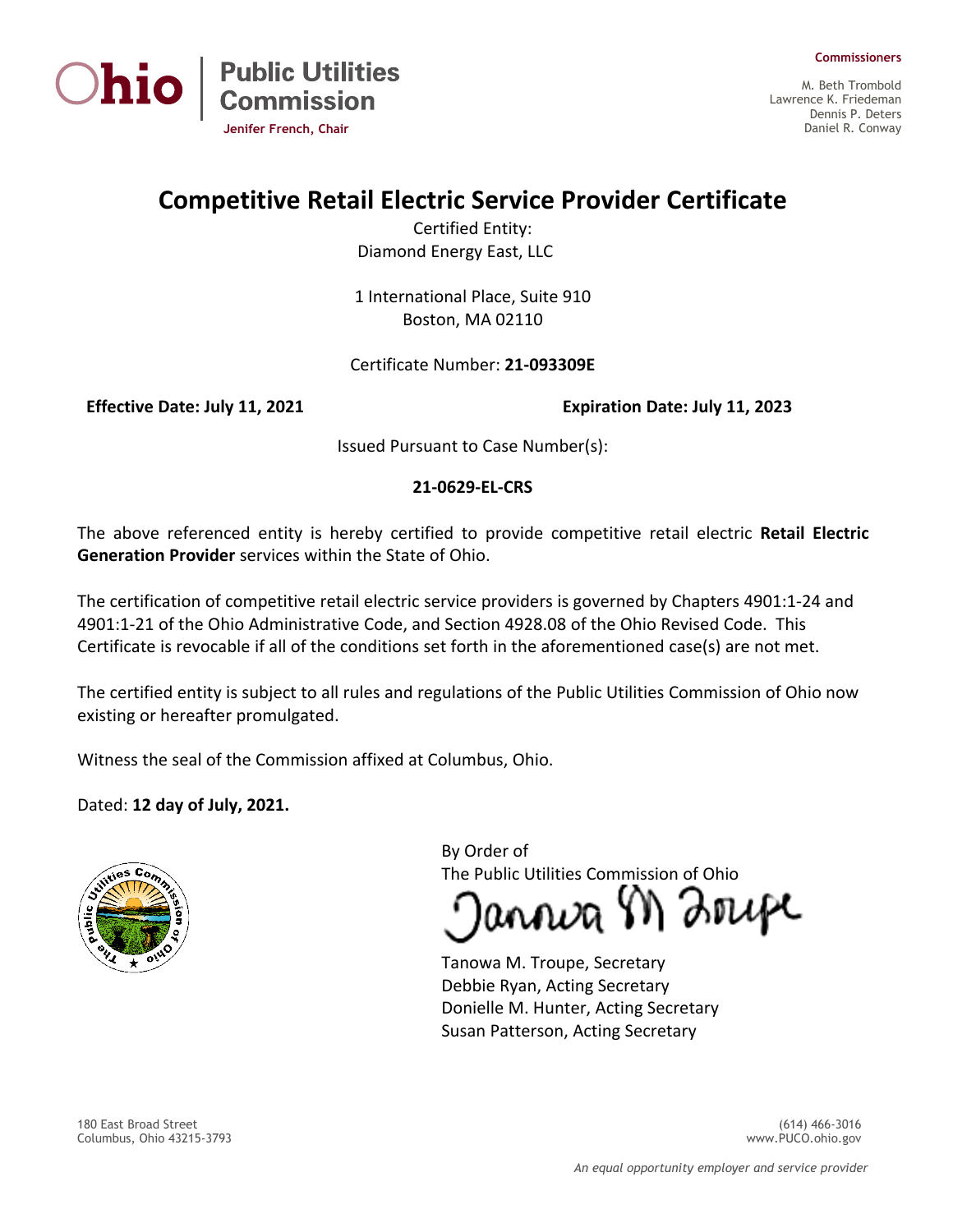



M. Beth Trombold Lawrence K. Friedeman Dennis P. Deters Daniel R. Conway

## **Competitive Retail Electric Service Provider Certificate**

Certified Entity: Diamond Energy East, LLC

1 International Place, Suite 910 Boston, MA 02110

## Certificate Number: **21-093309E**

**Jenifer French, Chair**

**Public Utilities<br>Commission** 

**Effective Date: July 11, 2021 Expiration Date: July 11, 2023**

Issued Pursuant to Case Number(s):

## **21-0629-EL-CRS**

The above referenced entity is hereby certified to provide competitive retail electric **Retail Electric Generation Provider** services within the State of Ohio.

The certification of competitive retail electric service providers is governed by Chapters 4901:1-24 and 4901:1-21 of the Ohio Administrative Code, and Section 4928.08 of the Ohio Revised Code. This Certificate is revocable if all of the conditions set forth in the aforementioned case(s) are not met.

The certified entity is subject to all rules and regulations of the Public Utilities Commission of Ohio now existing or hereafter promulgated.

Witness the seal of the Commission affixed at Columbus, Ohio.

Dated: **12 day of July, 2021.**



By Order of The Public Utilities Commission of Ohio

annva M Zrupe

Tanowa M. Troupe, Secretary Debbie Ryan, Acting Secretary Donielle M. Hunter, Acting Secretary Susan Patterson, Acting Secretary